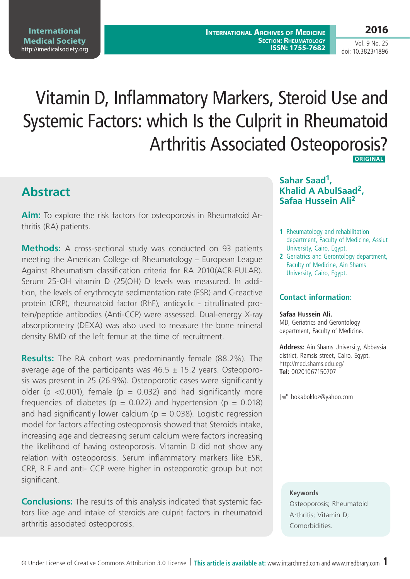# Vitamin D, Inflammatory Markers, Steroid Use and Systemic Factors: which is the Culprit in Rheumatoid Arthritis Associated Osteoporosis?  **Original**

**Abstract**

**Aim:** To explore the risk factors for osteoporosis in Rheumatoid Arthritis (RA) patients.

**Methods:** A cross-sectional study was conducted on 93 patients meeting the American College of Rheumatology – European League Against Rheumatism classification criteria for RA 2010(ACR-EULAR). Serum 25-OH vitamin D (25(OH) D levels was measured. In addition, the levels of erythrocyte sedimentation rate (ESR) and C-reactive protein (CRP), rheumatoid factor (RhF), anticyclic - citrullinated protein/peptide antibodies (Anti-CCP) were assessed. Dual-energy X-ray absorptiometry (DEXA) was also used to measure the bone mineral density BMD of the left femur at the time of recruitment.

**Results:** The RA cohort was predominantly female (88.2%). The average age of the participants was  $46.5 \pm 15.2$  years. Osteoporosis was present in 25 (26.9%). Osteoporotic cases were significantly older (p <0.001), female (p = 0.032) and had significantly more frequencies of diabetes ( $p = 0.022$ ) and hypertension ( $p = 0.018$ ) and had significantly lower calcium ( $p = 0.038$ ). Logistic regression model for factors affecting osteoporosis showed that Steroids intake, increasing age and decreasing serum calcium were factors increasing the likelihood of having osteoporosis. Vitamin D did not show any relation with osteoporosis. Serum inflammatory markers like ESR, CRP, R.F and anti- CCP were higher in osteoporotic group but not significant.

**Conclusions:** The results of this analysis indicated that systemic factors like age and intake of steroids are culprit factors in rheumatoid arthritis associated osteoporosis.

## **Sahar Saad1, Khalid A AbulSaad2, Safaa Hussein Ali2**

- **1** Rheumatology and rehabilitation department, Faculty of Medicine, Assiut University, Cairo, Egypt.
- **2** Geriatrics and Gerontology department, Faculty of Medicine, Ain Shams University, Cairo, Egypt.

### **Contact information:**

#### **Safaa Hussein Ali.**

MD, Geriatrics and Gerontology department, Faculty of Medicine.

**Address:** Ain Shams University, Abbassia district, Ramsis street, Cairo, Egypt. <http://med.shams.edu.eg/> **Tel:** 00201067150707

 $\equiv$  bokabokloz@yahoo.com

#### **Keywords**

Osteoporosis; Rheumatoid Arthritis; Vitamin D; Comorbidities.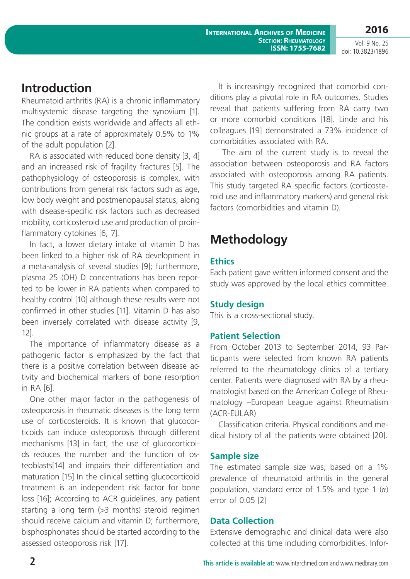**International Archives of Medicine Section: Rheumatology ISSN: 1755-7682**

**2016** Vol. 9 No. 25

doi: 10.3823/1896

## **Introduction**

Rheumatoid arthritis (RA) is a chronic inflammatory multisystemic disease targeting the synovium [1]. The condition exists worldwide and affects all ethnic groups at a rate of approximately 0.5% to 1% of the adult population [2].

RA is associated with reduced bone density [3, 4] and an increased risk of fragility fractures [5]. The pathophysiology of osteoporosis is complex, with contributions from general risk factors such as age, low body weight and postmenopausal status, along with disease-specific risk factors such as decreased mobility, corticosteroid use and production of proinflammatory cytokines [6, 7].

In fact, a lower dietary intake of vitamin D has been linked to a higher risk of RA development in a meta-analysis of several studies [9]; furthermore, plasma 25 (OH) D concentrations has been reported to be lower in RA patients when compared to healthy control [10] although these results were not confirmed in other studies [11]. Vitamin D has also been inversely correlated with disease activity [9, 12].

The importance of inflammatory disease as a pathogenic factor is emphasized by the fact that there is a positive correlation between disease activity and biochemical markers of bone resorption in RA [6].

One other major factor in the pathogenesis of osteoporosis in rheumatic diseases is the long term use of corticosteroids. It is known that glucocorticoids can induce osteoporosis through different mechanisms [13] in fact, the use of glucocorticoids reduces the number and the function of osteoblasts[14] and impairs their differentiation and maturation [15] In the clinical setting glucocorticoid treatment is an independent risk factor for bone loss [16]; According to ACR guidelines, any patient starting a long term (>3 months) steroid regimen should receive calcium and vitamin D; furthermore, bisphosphonates should be started according to the assessed osteoporosis risk [17].

It is increasingly recognized that comorbid conditions play a pivotal role in RA outcomes. Studies reveal that patients suffering from RA carry two or more comorbid conditions [18]. Linde and his colleagues [19] demonstrated a 73% incidence of comorbidities associated with RA.

 The aim of the current study is to reveal the association between osteoporosis and RA factors associated with osteoporosis among RA patients. This study targeted RA specific factors (corticosteroid use and inflammatory markers) and general risk factors (comorbidities and vitamin D).

# **Methodology**

## **Ethics**

Each patient gave written informed consent and the study was approved by the local ethics committee.

## **Study design**

This is a cross-sectional study.

## **Patient Selection**

From October 2013 to September 2014, 93 Participants were selected from known RA patients referred to the rheumatology clinics of a tertiary center. Patients were diagnosed with RA by a rheumatologist based on the American College of Rheumatology –European League against Rheumatism (ACR-EULAR)

Classification criteria. Physical conditions and medical history of all the patients were obtained [20].

## **Sample size**

The estimated sample size was, based on a 1% prevalence of rheumatoid arthritis in the general population, standard error of 1.5% and type 1  $(α)$ error of 0.05 [2]

## **Data Collection**

Extensive demographic and clinical data were also collected at this time including comorbidities. Infor-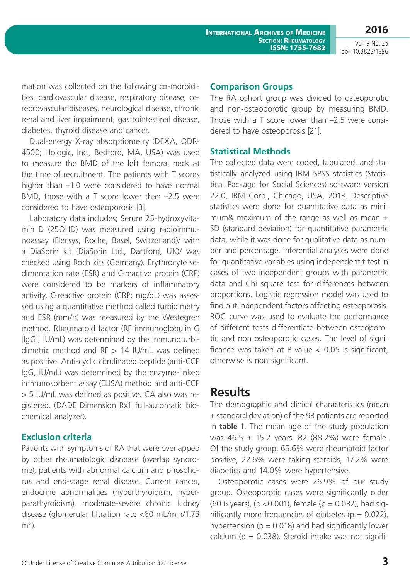**2016**

mation was collected on the following co-morbidities: cardiovascular disease, respiratory disease, cerebrovascular diseases, neurological disease, chronic renal and liver impairment, gastrointestinal disease, diabetes, thyroid disease and cancer.

Dual-energy X-ray absorptiometry (DEXA, QDR-4500; Hologic, Inc., Bedford, MA, USA) was used to measure the BMD of the left femoral neck at the time of recruitment. The patients with T scores higher than –1.0 were considered to have normal BMD, those with a T score lower than –2.5 were considered to have osteoporosis [3].

Laboratory data includes; Serum 25-hydroxyvitamin D (25OHD) was measured using radioimmunoassay (Elecsys, Roche, Basel, Switzerland)/ with a DiaSorin kit (DiaSorin Ltd., Dartford, UK)/ was checked using Roch kits (Germany). Erythrocyte sedimentation rate (ESR) and C-reactive protein (CRP) were considered to be markers of inflammatory activity. C-reactive protein (CRP: mg/dL) was assessed using a quantitative method called turbidimetry and ESR (mm/h) was measured by the Westegren method. Rheumatoid factor (RF immunoglobulin G [IgG], IU/mL) was determined by the immunoturbidimetric method and RF > 14 IU/mL was defined as positive. Anti-cyclic citrulinated peptide (anti-CCP IgG, IU/mL) was determined by the enzyme-linked immunosorbent assay (ELISA) method and anti-CCP > 5 IU/mL was defined as positive. CA also was registered. (DADE Dimension Rx1 full-automatic biochemical analyzer).

#### **Exclusion criteria**

Patients with symptoms of RA that were overlapped by other rheumatologic disnease (overlap syndrome), patients with abnormal calcium and phosphorus and end-stage renal disease. Current cancer, endocrine abnormalities (hyperthyroidism, hyperparathyroidism), moderate-severe chronic kidney disease (glomerular filtration rate <60 mL/min/1.73  $m<sup>2</sup>$ ).

### **Comparison Groups**

The RA cohort group was divided to osteoporotic and non-osteoporotic group by measuring BMD. Those with a T score lower than –2.5 were considered to have osteoporosis [21].

#### **Statistical Methods**

The collected data were coded, tabulated, and statistically analyzed using IBM SPSS statistics (Statistical Package for Social Sciences) software version 22.0, IBM Corp., Chicago, USA, 2013. Descriptive statistics were done for quantitative data as minimum& maximum of the range as well as mean  $\pm$ SD (standard deviation) for quantitative parametric data, while it was done for qualitative data as number and percentage. Inferential analyses were done for quantitative variables using independent t-test in cases of two independent groups with parametric data and Chi square test for differences between proportions. Logistic regression model was used to find out independent factors affecting osteoporosis. ROC curve was used to evaluate the performance of different tests differentiate between osteoporotic and non-osteoporotic cases. The level of significance was taken at P value  $< 0.05$  is significant, otherwise is non-significant.

## **Results**

The demographic and clinical characteristics (mean ± standard deviation) of the 93 patients are reported in **table 1**. The mean age of the study population was 46.5 ± 15.2 years. 82 (88.2%) were female. Of the study group, 65.6% were rheumatoid factor positive, 22.6% were taking steroids, 17.2% were diabetics and 14.0% were hypertensive.

Osteoporotic cases were 26.9% of our study group. Osteoporotic cases were significantly older (60.6 years), (p < 0.001), female (p = 0.032), had significantly more frequencies of diabetes ( $p = 0.022$ ), hypertension ( $p = 0.018$ ) and had significantly lower calcium ( $p = 0.038$ ). Steroid intake was not signifi-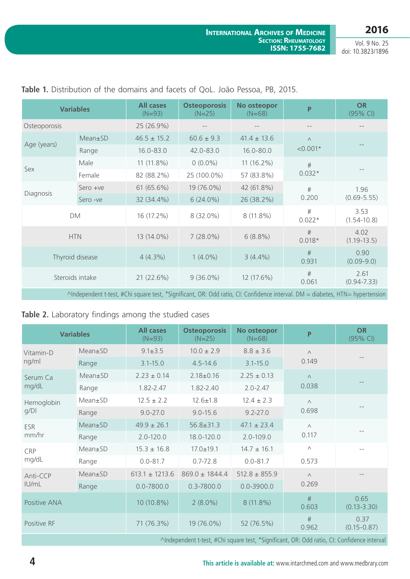**2016**

Vol. 9 No. 25 doi: 10.3823/1896

| <b>Variables</b>                                                                                                              |          | <b>All cases</b><br>$(N=93)$ | <b>Osteoporosis</b><br>$(N=25)$ | No osteopor<br>$(N=68)$ | P                | <b>OR</b><br>$(95%$ CI) |
|-------------------------------------------------------------------------------------------------------------------------------|----------|------------------------------|---------------------------------|-------------------------|------------------|-------------------------|
| Osteoporosis                                                                                                                  |          | 25 (26.9%)                   | $- -$                           |                         | $- -$            | $\qquad \qquad -$       |
| Age (years)                                                                                                                   | Mean±SD  | $46.5 \pm 15.2$              | $60.6 \pm 9.3$                  | $41.4 \pm 13.6$         | $\wedge$         |                         |
|                                                                                                                               | Range    | $16.0 - 83.0$                | 42.0-83.0                       | $16.0 - 80.0$           | $< 0.001*$       |                         |
| Sex                                                                                                                           | Male     | 11 (11.8%)                   | $0(0.0\%)$                      | $11(16.2\%)$            | #                |                         |
|                                                                                                                               | Female   | 82 (88.2%)                   | 25 (100.0%)                     | 57 (83.8%)              | $0.032*$         |                         |
| Diagnosis                                                                                                                     | Sero +ve | 61 (65.6%)                   | 19 (76.0%)                      | 42 (61.8%)              | #                | 1.96<br>$(0.69 - 5.55)$ |
|                                                                                                                               | Sero -ve | 32 (34.4%)                   | $6(24.0\%)$                     | 26 (38.2%)              | 0.200            |                         |
| DM                                                                                                                            |          | 16 (17.2%)                   | 8 (32.0%)                       | 8 (11.8%)               | $\#$<br>$0.022*$ | 3.53<br>$(1.54 - 10.8)$ |
| <b>HTN</b>                                                                                                                    |          | 13 (14.0%)                   | $7(28.0\%)$                     | $6(8.8\%)$              | #<br>$0.018*$    | 4.02<br>$(1.19 - 13.5)$ |
| Thyroid disease                                                                                                               |          | $4(4.3\%)$                   | $1(4.0\%)$                      | $3(4.4\%)$              | #<br>0.931       | 0.90<br>$(0.09 - 9.0)$  |
| Steroids intake                                                                                                               |          | 21 (22.6%)                   | $9(36.0\%)$                     | 12 (17.6%)              | #<br>0.061       | 2.61<br>$(0.94 - 7.33)$ |
| ^Independent t-test, #Chi square test, *Significant, OR: Odd ratio, CI: Confidence interval. DM = diabetes, HTN= hypertension |          |                              |                                 |                         |                  |                         |

### **Table 1.** Distribution of the domains and facets of QoL. João Pessoa, PB, 2015.

## **Table 2.** Laboratory findings among the studied cases

| <b>Variables</b>    |         | <b>All cases</b><br>$(N=93)$ | <b>Osteoporosis</b><br>$(N=25)$ | No osteopor<br>$(N=68)$ | P          | <b>OR</b><br>$(95%$ CI) |
|---------------------|---------|------------------------------|---------------------------------|-------------------------|------------|-------------------------|
| Vitamin-D<br>ng/ml  | Mean±SD | $9.1 \pm 3.5$                | $10.0 \pm 2.9$                  | $8.8 \pm 3.6$           | $\wedge$   |                         |
|                     | Range   | $3.1 - 15.0$                 | $4.5 - 14.6$                    | $3.1 - 15.0$            | 0.149      |                         |
| Serum Ca<br>mg/dL   | Mean±SD | $2.23 \pm 0.14$              | $2.18 \pm 0.16$                 | $2.25 \pm 0.13$         | $\wedge$   |                         |
|                     | Range   | 1.82-2.47                    | 1.82-2.40                       | $2.0 - 2.47$            | 0.038      |                         |
| Hemoglobin<br>q/D   | Mean±SD | $12.5 \pm 2.2$               | $12.6 \pm 1.8$                  | $12.4 \pm 2.3$          | $\wedge$   |                         |
|                     | Range   | $9.0 - 27.0$                 | $9.0 - 15.6$                    | $9.2 - 27.0$            | 0.698      |                         |
| <b>ESR</b><br>mm/hr | Mean±SD | $49.9 \pm 26.1$              | $56.8 \pm 31.3$                 | $47.1 \pm 23.4$         | $\wedge$   |                         |
|                     | Range   | $2.0 - 120.0$                | 18.0-120.0                      | $2.0 - 109.0$           | 0.117      |                         |
| CRP<br>mg/dL        | Mean±SD | $15.3 \pm 16.8$              | $17.0 \pm 19.1$                 | $14.7 \pm 16.1$         | $\wedge$   | $-$                     |
|                     | Range   | $0.0 - 81.7$                 | $0.7 - 72.8$                    | $0.0 - 81.7$            | 0.573      |                         |
| Anti-CCP<br>IU/mL   | Mean±SD | $613.1 \pm 1213.6$           | $869.0 \pm 1844.4$              | $512.8 \pm 855.9$       | $\wedge$   | $- -$                   |
|                     | Range   | $0.0 - 7800.0$               | 0.3-7800.0                      | $0.0 - 3900.0$          | 0.269      |                         |
| Positive ANA        |         | 10 (10.8%)                   | $2(8.0\%)$                      | 8 (11.8%)               | #<br>0.603 | 0.65<br>$(0.13 - 3.30)$ |
| Positive RF         |         | 71 (76.3%)                   | 19 (76.0%)                      | 52 (76.5%)              | #<br>0.962 | 0.37<br>$(0.15 - 0.87)$ |
|                     |         |                              |                                 |                         |            |                         |

^Independent t-test, #Chi square test, \*Significant, OR: Odd ratio, CI: Confidence interval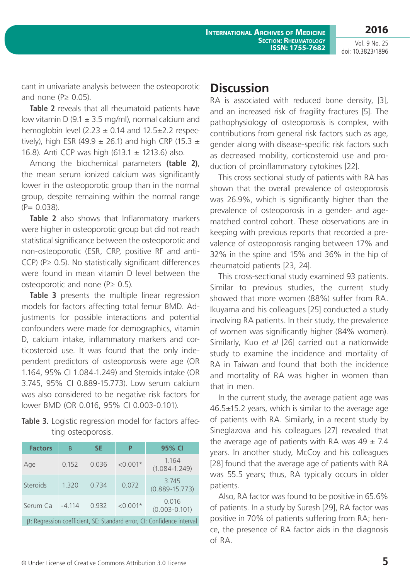**2016**

cant in univariate analysis between the osteoporotic and none ( $P \geq 0.05$ ).

**Table 2** reveals that all rheumatoid patients have low vitamin D (9.1  $\pm$  3.5 mg/ml), normal calcium and hemoglobin level  $(2.23 \pm 0.14$  and  $12.5 \pm 2.2$  respectively), high ESR (49.9  $\pm$  26.1) and high CRP (15.3  $\pm$ 16.8). Anti CCP was high (613.1 ± 1213.6) also.

Among the biochemical parameters **(table 2)**, the mean serum ionized calcium was significantly lower in the osteoporotic group than in the normal group, despite remaining within the normal range  $(P= 0.038)$ .

**Table 2** also shows that Inflammatory markers were higher in osteoporotic group but did not reach statistical significance between the osteoporotic and non-osteoporotic (ESR, CRP, positive RF and anti-CCP) ( $P \ge 0.5$ ). No statistically significant differences were found in mean vitamin D level between the osteoporotic and none ( $P \geq 0.5$ ).

**Table 3** presents the multiple linear regression models for factors affecting total femur BMD. Adjustments for possible interactions and potential confounders were made for demographics, vitamin D, calcium intake, inflammatory markers and corticosteroid use. It was found that the only independent predictors of osteoporosis were age (OR 1.164, 95% CI 1.084-1.249) and Steroids intake (OR 3.745, 95% CI 0.889-15.773). Low serum calcium was also considered to be negative risk factors for lower BMD (OR 0.016, 95% CI 0.003-0.101).

Table 3. Logistic regression model for factors affecting osteoporosis.

| <b>Factors</b>                                                         | B        | <b>SE</b> | P          | 95% CI                      |  |
|------------------------------------------------------------------------|----------|-----------|------------|-----------------------------|--|
| Age                                                                    | 0.152    | 0.036     | $< 0.001*$ | 1.164<br>$(1.084 - 1.249)$  |  |
| <b>Steroids</b>                                                        | 1.320    | 0.734     | 0.072      | 3.745<br>$(0.889 - 15.773)$ |  |
| Serum Ca                                                               | $-4.114$ | 0.932     | $< 0.001*$ | 0.016<br>$(0.003 - 0.101)$  |  |
| β: Regression coefficient, SE: Standard error, CI: Confidence interval |          |           |            |                             |  |

## **Discussion**

RA is associated with reduced bone density, [3], and an increased risk of fragility fractures [5]. The pathophysiology of osteoporosis is complex, with contributions from general risk factors such as age, gender along with disease-specific risk factors such as decreased mobility, corticosteroid use and production of proinflammatory cytokines [22].

This cross sectional study of patients with RA has shown that the overall prevalence of osteoporosis was 26.9%, which is significantly higher than the prevalence of osteoporosis in a gender- and agematched control cohort. These observations are in keeping with previous reports that recorded a prevalence of osteoporosis ranging between 17% and 32% in the spine and 15% and 36% in the hip of rheumatoid patients [23, 24].

This cross-sectional study examined 93 patients. Similar to previous studies, the current study showed that more women (88%) suffer from RA. Ikuyama and his colleagues [25] conducted a study involving RA patients. In their study, the prevalence of women was significantly higher (84% women). Similarly, Kuo *et al* [26] carried out a nationwide study to examine the incidence and mortality of RA in Taiwan and found that both the incidence and mortality of RA was higher in women than that in men.

In the current study, the average patient age was 46.5±15.2 years, which is similar to the average age of patients with RA. Similarly, in a recent study by Sineglazova and his colleagues [27] revealed that the average age of patients with RA was  $49 \pm 7.4$ years. In another study, McCoy and his colleagues [28] found that the average age of patients with RA was 55.5 years; thus, RA typically occurs in older patients.

Also, RA factor was found to be positive in 65.6% of patients. In a study by Suresh [29], RA factor was positive in 70% of patients suffering from RA; hence, the presence of RA factor aids in the diagnosis of RA.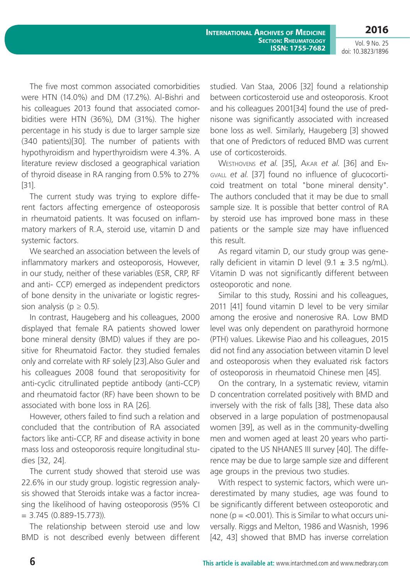**International Archives of Medicine Section: Rheumatology ISSN: 1755-7682**

**2016** Vol. 9 No. 25

doi: 10.3823/1896

The five most common associated comorbidities were HTN (14.0%) and DM (17.2%). Al-Bishri and his colleagues 2013 found that associated comorbidities were HTN (36%), DM (31%). The higher percentage in his study is due to larger sample size (340 patients)[30]. The number of patients with hypothyroidism and hyperthyroidism were 4.3%. A literature review disclosed a geographical variation of thyroid disease in RA ranging from 0.5% to 27% [31].

The current study was trying to explore different factors affecting emergence of osteoporosis in rheumatoid patients. It was focused on inflammatory markers of R.A, steroid use, vitamin D and systemic factors.

We searched an association between the levels of inflammatory markers and osteoporosis, However, in our study, neither of these variables (ESR, CRP, RF and anti- CCP) emerged as independent predictors of bone density in the univariate or logistic regression analysis ( $p \ge 0.5$ ).

In contrast, Haugeberg and his colleagues, 2000 displayed that female RA patients showed lower bone mineral density (BMD) values if they are positive for Rheumatoid Factor. they studied females only and correlate with RF solely [23].Also Guler and his colleagues 2008 found that seropositivity for anti-cyclic citrullinated peptide antibody (anti-CCP) and rheumatoid factor (RF) have been shown to be associated with bone loss in RA [26].

However, others failed to find such a relation and concluded that the contribution of RA associated factors like anti-CCP, RF and disease activity in bone mass loss and osteoporosis require longitudinal studies [32, 24].

The current study showed that steroid use was 22.6% in our study group. logistic regression analysis showed that Steroids intake was a factor increasing the likelihood of having osteoporosis (95% CI  $= 3.745 (0.889 - 15.773)$ 

The relationship between steroid use and low BMD is not described evenly between different studied. Van Staa, 2006 [32] found a relationship between corticosteroid use and osteoporosis. Kroot and his colleagues 2001[34] found the use of prednisone was significantly associated with increased bone loss as well. Similarly, Haugeberg [3] showed that one of Predictors of reduced BMD was current use of corticosteroids.

Westhovens *et al*. [35], Akar *et al*. [36] and Engvall *et al*. [37] found no influence of glucocorticoid treatment on total "bone mineral density". The authors concluded that it may be due to small sample size. It is possible that better control of RA by steroid use has improved bone mass in these patients or the sample size may have influenced this result.

As regard vitamin D, our study group was generally deficient in vitamin D level  $(9.1 \pm 3.5 \text{ ng/mL})$ . Vitamin D was not significantly different between osteoporotic and none.

Similar to this study, Rossini and his colleagues, 2011 [41] found vitamin D level to be very similar among the erosive and nonerosive RA. Low BMD level was only dependent on parathyroid hormone (PTH) values. Likewise Piao and his colleagues, 2015 did not find any association between vitamin D level and osteoporosis when they evaluated risk factors of osteoporosis in rheumatoid Chinese men [45].

On the contrary, In a systematic review, vitamin D concentration correlated positively with BMD and inversely with the risk of falls [38], These data also observed in a large population of postmenopausal women [39], as well as in the community-dwelling men and women aged at least 20 years who participated to the US NHANES III survey [40]. The difference may be due to large sample size and different age groups in the previous two studies.

With respect to systemic factors, which were underestimated by many studies, age was found to be significantly different between osteoporotic and none ( $p = < 0.001$ ). This is Similar to what occurs universally. Riggs and Melton, 1986 and Wasnish, 1996 [42, 43] showed that BMD has inverse correlation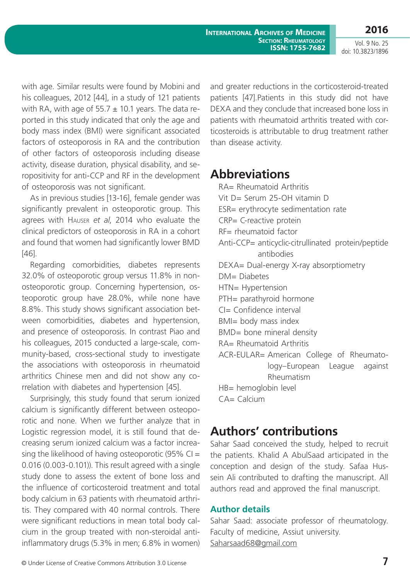**International Archives of Medicine Section: Rheumatology ISSN: 1755-7682**

**2016** Vol. 9 No. 25

doi: 10.3823/1896

with age. Similar results were found by Mobini and his colleagues, 2012 [44], in a study of 121 patients with RA, with age of  $55.7 \pm 10.1$  years. The data reported in this study indicated that only the age and body mass index (BMI) were significant associated factors of osteoporosis in RA and the contribution of other factors of osteoporosis including disease activity, disease duration, physical disability, and seropositivity for anti-CCP and RF in the development of osteoporosis was not significant.

As in previous studies [13-16], female gender was significantly prevalent in osteoporotic group. This agrees with Hauser *et al*, 2014 who evaluate the clinical predictors of osteoporosis in RA in a cohort and found that women had significantly lower BMD [46].

Regarding comorbidities, diabetes represents 32.0% of osteoporotic group versus 11.8% in nonosteoporotic group. Concerning hypertension, osteoporotic group have 28.0%, while none have 8.8%. This study shows significant association between comorbidities, diabetes and hypertension, and presence of osteoporosis. In contrast Piao and his colleagues, 2015 conducted a large-scale, community-based, cross-sectional study to investigate the associations with osteoporosis in rheumatoid arthritics Chinese men and did not show any correlation with diabetes and hypertension [45].

Surprisingly, this study found that serum ionized calcium is significantly different between osteoporotic and none. When we further analyze that in Logistic regression model, it is still found that decreasing serum ionized calcium was a factor increasing the likelihood of having osteoporotic (95%  $Cl =$ 0.016 (0.003-0.101)). This result agreed with a single study done to assess the extent of bone loss and the influence of corticosteroid treatment and total body calcium in 63 patients with rheumatoid arthritis. They compared with 40 normal controls. There were significant reductions in mean total body calcium in the group treated with non-steroidal antiinflammatory drugs (5.3% in men; 6.8% in women)

and greater reductions in the corticosteroid-treated patients [47].Patients in this study did not have DEXA and they conclude that increased bone loss in patients with rheumatoid arthritis treated with corticosteroids is attributable to drug treatment rather than disease activity.

## **Abbreviations**

RA= Rheumatoid Arthritis Vit D= Serum 25-OH vitamin D ESR= erythrocyte sedimentation rate CRP= C-reactive protein RF= rheumatoid factor Anti-CCP= anticyclic-citrullinated protein/peptide antibodies DEXA= Dual-energy X-ray absorptiometry DM= Diabetes HTN= Hypertension PTH= parathyroid hormone CI= Confidence interval BMI= body mass index BMD= bone mineral density RA= Rheumatoid Arthritis ACR-EULAR= American College of Rheumatology–European League against Rheumatism HB= hemoglobin level  $CA = Calcium$ 

## **Authors' contributions**

Sahar Saad conceived the study, helped to recruit the patients. Khalid A AbulSaad articipated in the conception and design of the study. Safaa Hussein Ali contributed to drafting the manuscript. All authors read and approved the final manuscript.

### **Author details**

Sahar Saad: associate professor of rheumatology. Faculty of medicine, Assiut university. <Saharsaad68@gmail.com>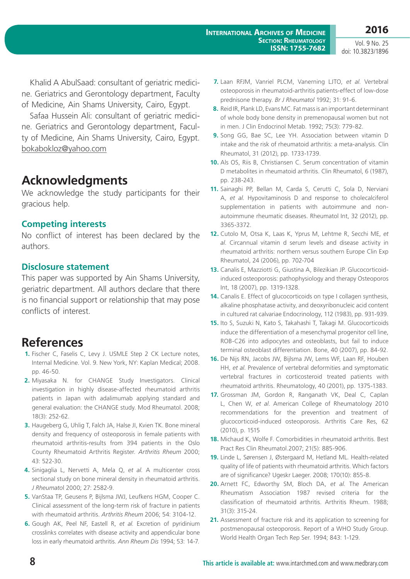Khalid A AbulSaad: consultant of geriatric medicine. Geriatrics and Gerontology department, Faculty of Medicine, Ain Shams University, Cairo, Egypt.

Safaa Hussein Ali: consultant of geriatric medicine. Geriatrics and Gerontology department, Faculty of Medicine, Ain Shams University, Cairo, Egypt. <bokabokloz@yahoo.com>

## **Acknowledgments**

We acknowledge the study participants for their gracious help.

## **Competing interests**

No conflict of interest has been declared by the authors.

### **Disclosure statement**

This paper was supported by Ain Shams University, geriatric department. All authors declare that there is no financial support or relationship that may pose conflicts of interest.

## **References**

- **1.** Fischer C, Faselis C, Levy J. USMLE Step 2 CK Lecture notes, Internal Medicine. Vol. 9. New York, NY: Kaplan Medical; 2008. pp. 46-50.
- **2.** Miyasaka N. for CHANGE Study Investigators. Clinical investigation in highly disease-affected rheumatoid arthritis patients in Japan with adalimumab applying standard and general evaluation: the CHANGE study. Mod Rheumatol. 2008; 18(3): 252-62.
- **3.** Haugeberg G, Uhlig T, Falch JA, Halse JI, Kvien TK. Bone mineral density and frequency of osteoporosis in female patients with rheumatoid arthritis-results from 394 patients in the Oslo County Rheumatoid Arthritis Register. *Arthritis Rheum* 2000; 43: 522-30.
- **4.** Sinigaglia L, Nervetti A, Mela Q, *et al*. A multicenter cross sectional study on bone mineral density in rheumatoid arthritis. *J Rheumato*l 2000; 27: 2582-9.
- **5.** VanStaa TP, Geusens P, Bijlsma JWJ, Leufkens HGM, Cooper C. Clinical assessment of the long-term risk of fracture in patients with rheumatoid arthritis. *Arthritis Rheum* 2006; 54: 3104-12.
- **6.** Gough AK, Peel NF, Eastell R, *et al*. Excretion of pyridinium crosslinks correlates with disease activity and appendicular bone loss in early rheumatoid arthritis. *Ann Rheum Dis* 1994; 53: 14-7.
- **7.** Laan RFJM, Vanriel PLCM, Vanerning LJTO, *et al*. Vertebral osteoporosis in rheumatoid-arthritis patients-effect of low-dose prednisone therapy. *Br J Rheumatol* 1992; 31: 91-6.
- **8.** Reid IR, Plank LD, Evans MC. Fat mass is an important determinant of whole body bone density in premenopausal women but not in men. J Clin Endocrinol Metab. 1992; 75(3): 779-82.
- **9.** Song GG, Bae SC, Lee YH. Association between vitamin D intake and the risk of rheumatoid arthritis: a meta-analysis. Clin Rheumatol, 31 (2012), pp. 1733-1739.
- **10.** Als OS, Riis B, Christiansen C. Serum concentration of vitamin D metabolites in rheumatoid arthritis. Clin Rheumatol, 6 (1987), pp. 238-243.
- **11.** Sainaghi PP, Bellan M, Carda S, Cerutti C, Sola D, Nerviani A, *et al*. Hypovitaminosis D and response to cholecalciferol supplementation in patients with autoimmune and nonautoimmune rheumatic diseases. Rheumatol Int, 32 (2012), pp. 3365-3372.
- **12.** Cutolo M, Otsa K, Laas K, Yprus M, Lehtme R, Secchi ME, *et al*. Circannual vitamin d serum levels and disease activity in rheumatoid arthritis: northern versus southern Europe Clin Exp Rheumatol, 24 (2006), pp. 702-704
- **13.** Canalis E, Mazziotti G, Giustina A, Bilezikian JP. Glucocorticoidinduced osteoporosis: pathophysiology and therapy Osteoporos Int, 18 (2007), pp. 1319-1328.
- **14.** Canalis E. Effect of glucocorticoids on type I collagen synthesis, alkaline phosphatase activity, and deoxyribonucleic acid content in cultured rat calvariae Endocrinology, 112 (1983), pp. 931-939.
- **15.** Ito S, Suzuki N, Kato S, Takahashi T, Takagi M. Glucocorticoids induce the differentiation of a mesenchymal progenitor cell line, ROB-C26 into adipocytes and osteoblasts, but fail to induce terminal osteoblast differentiation. Bone, 40 (2007), pp. 84-92.
- **16.** De Nijs RN, Jacobs JW, Bijlsma JW, Lems WF, Laan RF, Houben HH, *et al*. Prevalence of vertebral deformities and symptomatic vertebral fractures in corticosteroid treated patients with rheumatoid arthritis. Rheumatology, 40 (2001), pp. 1375-1383.
- **17.** Grossman JM, Gordon R, Ranganath VK, Deal C, Caplan L, Chen W, *et al*. American College of Rheumatology 2010 recommendations for the prevention and treatment of glucocorticoid-induced osteoporosis. Arthritis Care Res, 62 (2010), p. 1515
- **18.** Michaud K, Wolfe F. Comorbidities in rheumatoid arthritis. Best Pract Res Clin Rheumatol.2007; 21(5): 885-906.
- **19.** Linde L, Sørensen J, Østergaard M, Hetland ML. Health-related quality of life of patients with rheumatoid arthritis. Which factors are of significance? Ugeskr Laeger. 2008; 170(10): 855-8.
- **20.** Arnett FC, Edworthy SM, Bloch DA, *et al*. The American Rheumatism Association 1987 revised criteria for the classification of rheumatoid arthritis. Arthritis Rheum. 1988; 31(3): 315-24.
- **21.** Assessment of fracture risk and its application to screening for postmenopausal osteoporosis. Report of a WHO Study Group. World Health Organ Tech Rep Ser. 1994; 843: 1-129.